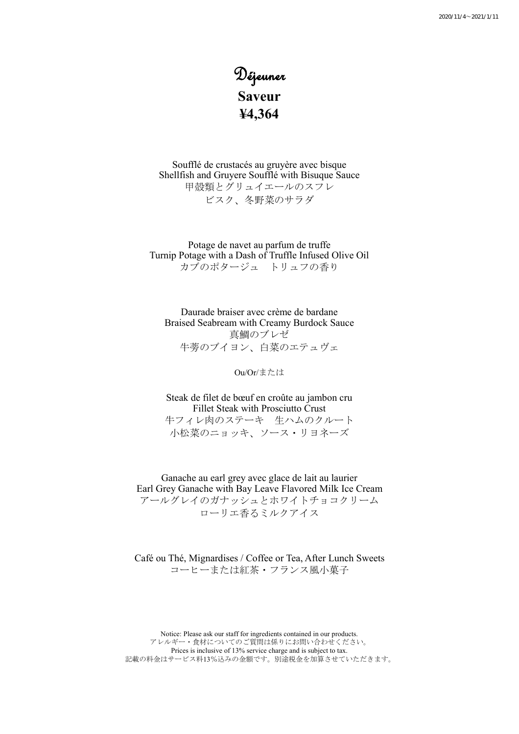# Déjeuner **Saveur ¥4,364**

Soufflé de crustacés au gruyère avec bisque Shellfish and Gruyere Soufflé with Bisuque Sauce 甲殻類とグリュイエールのスフレ ビスク、冬野菜のサラダ

Potage de navet au parfum de truffe Turnip Potage with a Dash of Truffle Infused Olive Oil カブのポタージュ トリュフの香り

Daurade braiser avec crème de bardane Braised Seabream with Creamy Burdock Sauce 真鯛のブレゼ 牛蒡のブイヨン、白菜のエテュヴェ

#### Ou/Or/または

Steak de filet de bœuf en croûte au jambon cru Fillet Steak with Prosciutto Crust 牛フィレ肉のステーキ 生ハムのクルート 小松菜のニョッキ、ソース・リヨネーズ

Ganache au earl grey avec glace de lait au laurier Earl Grey Ganache with Bay Leave Flavored Milk Ice Cream アールグレイのガナッシュとホワイトチョコクリーム ローリエ香るミルクアイス

Café ou Thé, Mignardises / Coffee or Tea, After Lunch Sweets コーヒーまたは紅茶・フランス風小菓子

Notice: Please ask our staff for ingredients contained in our products. アレルギー・食材についてのご質問は係りにお問い合わせください。 Prices is inclusive of 13% service charge and is subject to tax. 記載の料金はサービス料13%込みの金額です。別途税金を加算させていただきます。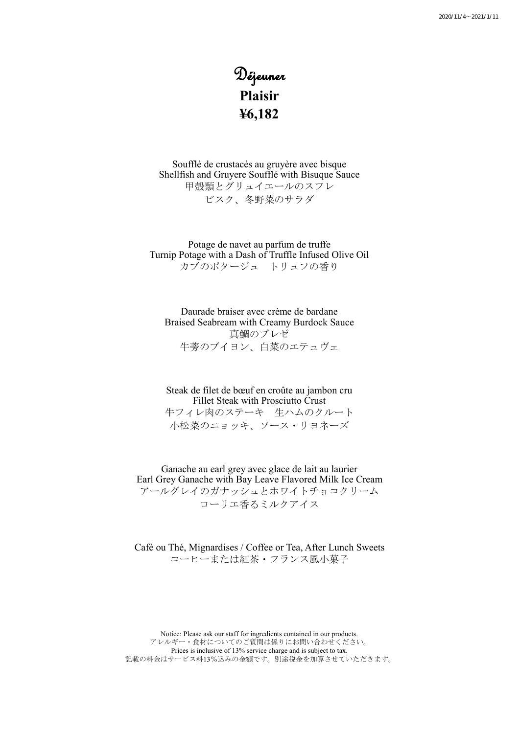# Déjeuner **Plaisir ¥6,182**

Soufflé de crustacés au gruyère avec bisque Shellfish and Gruyere Soufflé with Bisuque Sauce 甲殻類とグリュイエールのスフレ ビスク、冬野菜のサラダ

Potage de navet au parfum de truffe Turnip Potage with a Dash of Truffle Infused Olive Oil カブのポタージュ トリュフの香り

Daurade braiser avec crème de bardane Braised Seabream with Creamy Burdock Sauce 真鯛のブレゼ 牛蒡のブイヨン、白菜のエテュヴェ

Steak de filet de bœuf en croûte au jambon cru Fillet Steak with Prosciutto Crust 牛フィレ肉のステーキ 生ハムのクルート 小松菜のニョッキ、ソース・リヨネーズ

Ganache au earl grey avec glace de lait au laurier Earl Grey Ganache with Bay Leave Flavored Milk Ice Cream アールグレイのガナッシュとホワイトチョコクリーム ローリエ香るミルクアイス

Café ou Thé, Mignardises / Coffee or Tea, After Lunch Sweets コーヒーまたは紅茶・フランス風小菓子

Notice: Please ask our staff for ingredients contained in our products. アレルギー・食材についてのご質問は係りにお問い合わせください。 Prices is inclusive of 13% service charge and is subject to tax. 記載の料金はサービス料13%込みの金額です。別途税金を加算させていただきます。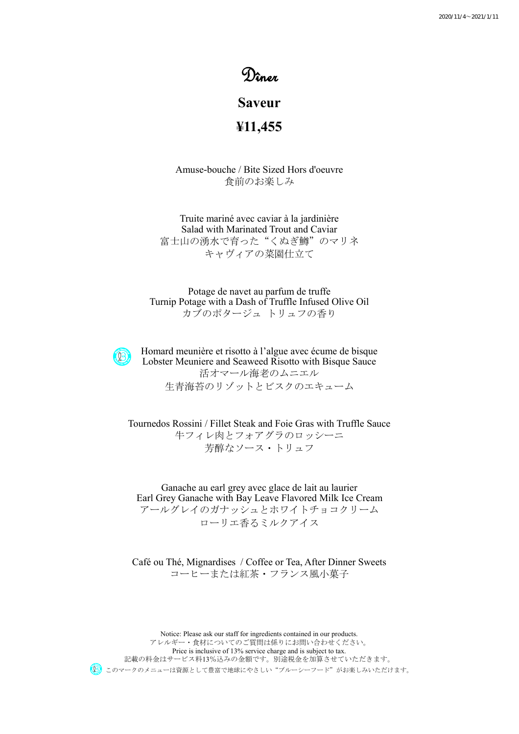## Dîner

## **Saveur**

**¥11,455**

Amuse-bouche / Bite Sized Hors d'oeuvre 食前のお楽しみ

Truite mariné avec caviar à la jardinière Salad with Marinated Trout and Caviar 富士山の湧水で育った"くぬぎ鱒"のマリネ キャヴィアの菜園仕立て

Potage de navet au parfum de truffe Turnip Potage with a Dash of Truffle Infused Olive Oil カブのポタージュ トリュフの香り

 $(9)$ 

Homard meunière et risotto à l'algue avec écume de bisque Lobster Meuniere and Seaweed Risotto with Bisque Sauce 活オマール海老のムニエル 生青海苔のリゾットとビスクのエキューム

Tournedos Rossini / Fillet Steak and Foie Gras with Truffle Sauce 牛フィレ肉とフォアグラのロッシーニ 芳醇なソース・トリュフ

Ganache au earl grey avec glace de lait au laurier Earl Grey Ganache with Bay Leave Flavored Milk Ice Cream アールグレイのガナッシュとホワイトチョコクリーム ローリエ香るミルクアイス

Café ou Thé, Mignardises / Coffee or Tea, After Dinner Sweets コーヒーまたは紅茶・フランス風小菓子

Notice: Please ask our staff for ingredients contained in our products. アレルギー・食材についてのご質問は係りにお問い合わせください。 Price is inclusive of 13% service charge and is subject to tax. 記載の料金はサービス料13%込みの金額です。別途税金を加算させていただきます。 このマークのメニューは資源として豊富で地球にやさしい"ブルーシーフード"がお楽しみいただけます。